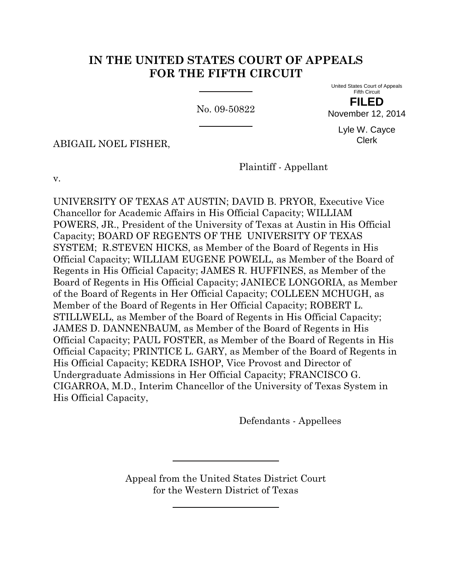## **IN THE UNITED STATES COURT OF APPEALS FOR THE FIFTH CIRCUIT**

No. 09-50822

United States Court of Appeals Fifth Circuit **FILED**

November 12, 2014

Lyle W. Cayce Clerk

ABIGAIL NOEL FISHER,

Plaintiff - Appellant

v.

UNIVERSITY OF TEXAS AT AUSTIN; DAVID B. PRYOR, Executive Vice Chancellor for Academic Affairs in His Official Capacity; WILLIAM POWERS, JR., President of the University of Texas at Austin in His Official Capacity; BOARD OF REGENTS OF THE UNIVERSITY OF TEXAS SYSTEM; R.STEVEN HICKS, as Member of the Board of Regents in His Official Capacity; WILLIAM EUGENE POWELL, as Member of the Board of Regents in His Official Capacity; JAMES R. HUFFINES, as Member of the Board of Regents in His Official Capacity; JANIECE LONGORIA, as Member of the Board of Regents in Her Official Capacity; COLLEEN MCHUGH, as Member of the Board of Regents in Her Official Capacity; ROBERT L. STILLWELL, as Member of the Board of Regents in His Official Capacity; JAMES D. DANNENBAUM, as Member of the Board of Regents in His Official Capacity; PAUL FOSTER, as Member of the Board of Regents in His Official Capacity; PRINTICE L. GARY, as Member of the Board of Regents in His Official Capacity; KEDRA ISHOP, Vice Provost and Director of Undergraduate Admissions in Her Official Capacity; FRANCISCO G. CIGARROA, M.D., Interim Chancellor of the University of Texas System in His Official Capacity,

Defendants - Appellees

Appeal from the United States District Court for the Western District of Texas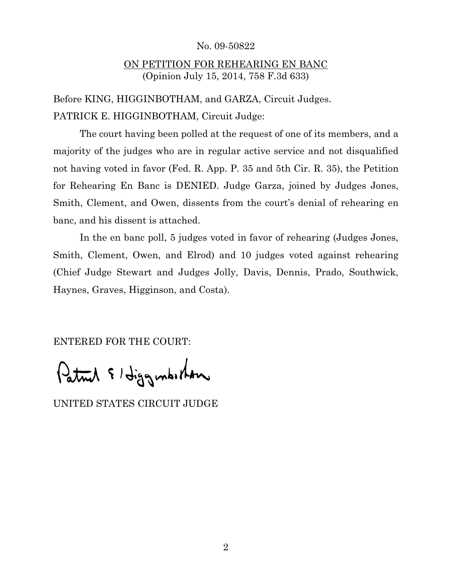## No. 09-50822

## ON PETITION FOR REHEARING EN BANC (Opinion July 15, 2014, 758 F.3d 633)

Before KING, HIGGINBOTHAM, and GARZA, Circuit Judges. PATRICK E. HIGGINBOTHAM, Circuit Judge:

The court having been polled at the request of one of its members, and a majority of the judges who are in regular active service and not disqualified not having voted in favor (Fed. R. App. P. 35 and 5th Cir. R. 35), the Petition for Rehearing En Banc is DENIED. Judge Garza, joined by Judges Jones, Smith, Clement, and Owen, dissents from the court's denial of rehearing en banc, and his dissent is attached.

In the en banc poll, 5 judges voted in favor of rehearing (Judges Jones, Smith, Clement, Owen, and Elrod) and 10 judges voted against rehearing (Chief Judge Stewart and Judges Jolly, Davis, Dennis, Prado, Southwick, Haynes, Graves, Higginson, and Costa).

ENTERED FOR THE COURT:

Patrick & Higgenbirkon

UNITED STATES CIRCUIT JUDGE